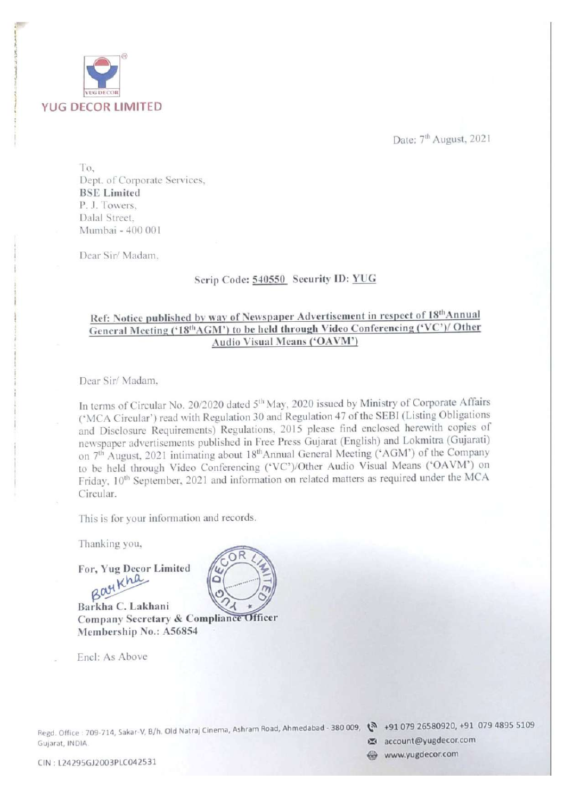

Date: 7<sup>th</sup> August, 2021

To, Dept. of Corporate Services, BSE Limited P. J. Towers, Dalal Street, Mumbai - 400 001

Dear Sir/ Madam,

————— ae eee

# Scrip Code: 540550, Security ID: YUG

# Ref: Notice published by way of Newspaper Advertisement in respect of 18" Annual General Meeting ('18<sup>th</sup>AGM') to be held through Video Conferencing ('VC')/ Other Audio Visual Means ('OAVM')

Dear Sir/ Madam,

In terms of Circular No. 20/2020 dated 5<sup>th</sup> May, 2020 issued by Ministry of Corporate Affairs ('MCA Circular') read with Regulation 30 and Regulation 47 of the SEBI (Listing Obligations and Disclosure Requirements) Regulations, 2015 please find enclosed herewith copies of newspaper advertisements published in Free Press Gujarat (English) and Lokmitra (Gujarati) on 7<sup>th</sup> August, 2021 intimating about 18<sup>th</sup> Annual General Meeting ('AGM') of the Company to be held through Video Conferencing ('VC')/Other Audio Visual Means ('OAVM') on Friday,  $10^{th}$  September, 2021 and information on related matters as required under the MCA Circular.

This is for your information and records.

Thanking you,

For, Yug Decor Limited

Bay Kha Company Secretary & Compliance Officer Membership No.: A56854 600

Encl: As Above

Regd. Office : 709-<br>Gujarat, INDIA.<br>CIN : L24295GJ2( Gujarat, INDIA. **Example 2008** account@yugdecor.com - 709-714, Sakar-V, B/h, Old Natraj Cinema, Ashram Road, Ahmedabad - 380 009, @ +91 079 26580920, +91 079 4895 <sup>5109</sup>

<sup>i</sup>www.yugdecor.com CIN : L24295GJ2003PLC042531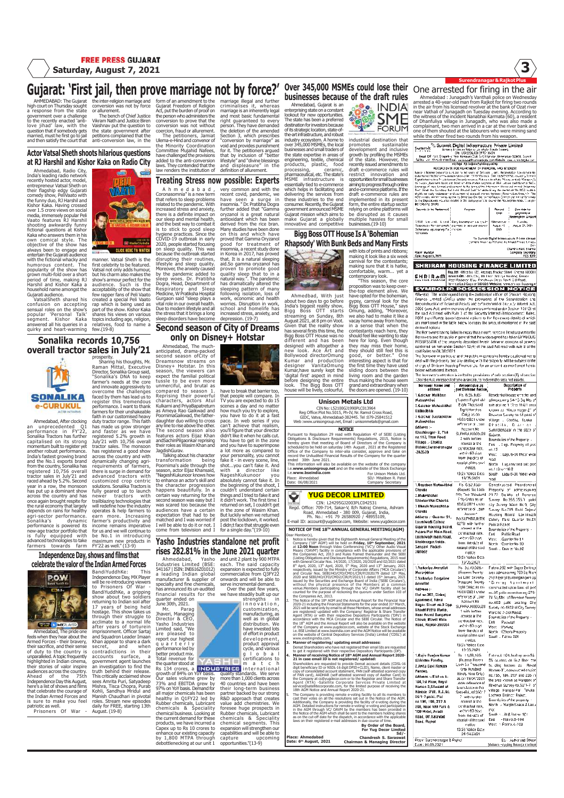# Gujarat: 'First jail, then prove marriage not by force?' Over 345,000 MSMEs could lose their One arrested for firing in the air

AHMEDABAD: The Gujarat high court on Thursday sought gh court on Thursday sough<br>response from the state government over a challenge to the recently enacted 'anti-love jihad' law, with the question that if somebody gets married, must he first go to jail and then satisfy the court that

the inter-religion marriage and conversion was not by force or allurement. The bench of Chief Justice Vikram Nath and Justice Biren Vaishnav put the question to

## Actor Vatsal Sheth shoots hilarious questions at RJ Harshil and Kishor Kaka on Radio City

Ahmedabad, Radio City, India's leading radio network recently hosted actor, model, entrepreneur Vatsal Sheth on their flagship edgy Gujarati comedy show, PeliVaato with the funny duo, RJ Harshil and Kishor Kaka. Having crossed over 1.5 crore views on social media, immensely popular Peli Vaato features RJ Harshil shooting awkwardly funny<br>fictional questions at Kishor fictional questions at Kishor Kaka who answers them in his own comical style. The objective of the show has always been to engage and entertain the Gujarati audience with the fictional whacky and humorous content. The humorous content. The<br>popularity of the show has grown multi-fold over a short period of time, making RJ Harshil and Kishor Kaka a household name amongst the Gujarati audience.

VatsalSheth shared his confusion on accepting sensual roles on the show's popular 'Personal Talk' segment. Kishor Kaka answered all his queries in a quirky and heart-warming

# Sonalika records 10,756 overall tractor sales in July'21



Ahmedabad, After clocking an unprecedented Q1<br>performance in FY'22,<br>Sonalika Tractors has further<br>momentum built to register yet<br>another robust performance.<br>India's fastest growing brand<br>and the No.1 exports brand from the country, Sonalika has<br>registered 10,756 overall<br>tractor sales in July'21 and<br>raced ahead by 5.2%. Second<br>year in a row, the monsoon<br>has put up a dominant show<br>across the country and has<br>once again brought respite the rural economy that largely depends on rains for healthy agri-sector performance.<br>Sonalika's dynamic<br>performance is powered its new-age tractor portfolio that is fully equipped with advanced technologies to take

Independence Day, shows and films that farmers towards farm be No.1 in introducing maximum new products in FY'22 as well." (13-9)



Ahmedabad, The pride one feels when they hear about the Armed Forces - their bravery,<br>their sacrifice, and their sense their sacrifice, and their sense of duty to the country is unparalleled. A topic frequently highlighted in Indian cinema, their stories of valor inspire audiences across the country. Ahead of the 75th Independence Day this August, here's a list of shows and films<br>that celebrate the courage of that celebrate the courage of the Indian Armed Forces and is sure to make you feel

the state government after petitions complained that the anti-conversion law, in the 感  $C$ 

**WWW** Log or by<br>ENRadoOtyIndia **CLICK HERE TO WATCH** 

manner. Vatsal Sheth is the first celebrity to be fe Vatsal not only adds humour,<br>but his charm also makes the but his charm also makes the<br>show's armour perfect for the<br>audience. Such is the<br>acceptability of the show that<br>few rapper fans of Peli Vaato<br>few rapper fans of Peli Vaato<br>rap which is being used as<br>part of the show. Kisho

prosperity. Sharing his thoughts, Mr. Raman Mittal, Executive Director, Sonalika Group said, "Sonalika's DNA to keep farmer's needs at the core and innovate aggressively to<br>overcome the challenges

overcome the challenges<br>according the challenges and the preferential store performance. I want to thank<br>performance. I want to thank<br>ability in the character of the character of the character<br>faith in our customised heavy

advanced tractors with customized crop centric solutions. Sonalika Tractors is fully geared up to launch newer tractors with trailblazing technologies that will redefine how the industry operates & help farmers to earn more. Increasing farmer's productivity and income remains imperative income remains imperative<br>for us and we will continue to<br>be No.1 in introducing form of an amendment to the Gujarat Freedom of Religion Act, put the burden of proof on the person who administers the conversion to prove that the conversion was not without<br>corection, fraud or allurement.<br>The petitioners, Jamiat<br>Ulema-e-Hind and convenor of<br>the Minority Coordination<br>Committee Mujahid Nafees,<br>have dallenged the provision<br>added to the anti-conversion<br> marriage illegal and further criminalises it, whereas marriage is an inherently legal and most basic fundamental right guaranteed to every person. They have demanded the deletion of the amended<br>Section 3, which prescribes<br>"conversion by marriage" as<br>woid and provides punishment<br>that by inclusion of "better<br>that by inclusion of "better<br>lifestyle" and "divine blessings<br>and displeasure" i

Treating Stress now possible: Experts

A h m e d a b a d ,<br>
Coronasomnia" is a new term<br>
that refers to sleep problems<br>
related to the pandemic. With<br>
increased stress and anxiety,<br>
there is a definite impact on our sleep and mental health,<br>and the best way to combat it<br>is to stick to good sleep<br>hygiene practices. Since the<br>COVID-19 outbreak in early<br>2020, people started focusing<br>because the outbreak started<br>because the outbreak s disrupting their routines, lifestyle and sleep quality. Moreover, the anxiety caused by the pandemic added to sleep woes. Dr. Pratibha Dogra, Head, Department of Respiratory and Sleep Medicine, W Pratiksha Hospital Gurgaon said "sleep plays a vital role in our overall health. Due to modern lifestyle and all the stress that it brings a long sleep disorders have become very common and with the recent covid, pandemic, we have seen a surge in insomnia. " Dr. Pratibha Dogra further added that "Gamma oryzanol is a great natural antioxidant which has been derived from the rice bran. Many studies have been done on this and which have proved that Gamma Oryzanol good for treatment of insomnia, a recent study done in Korea in 2017, has proved that. It is a natural sleeping aid.So gamma oryzanol has proven to promote good quality sleep that to in a natural way.". The pandemic has dramatically altered the sleeping pattern of many following isolation, loss of work, economic and health worries. Disruption in work, school and homelife has increased stress, anxiety, and depression. (19-7)

# Second season of City of Dreams only on Disney+ Hotstar

Ahmedabad, The much-anticipated, drama-packed second season ofCity of Dreamsnow streams on Disney+ Hotstar. In this season, the viewers can expect the familial political tussle to be even more unmerciful, and brutal as compared to season 1. Reprising their powerful characters, actors Atul Kulkarni and PriyaBapatreturn as Ameya Rao Gaikwad and PoornimaGaikwad, the father-daughter duo willing to cross any line to rise above the other. The second season also features actors Eijaz Khan andSachinPilgaonkar reprising

their roles as Wasim Khan and<br>JagdishGurav.<br>Talking about his character<br>transformation being<br>Poornima's aide through the<br>season, actor Eijaz Khansaid,<br>"NageshKukunoor knows how to enhance an actor's skill and the character progression happens beautifully. In a certain way returning for the second season was easy but I was scared too because the audiences have a certain expectation that had to be matched and I was worried if I will be able to do it or not. I come from television and I and you have to superimpose<br>a lot more as compared to a lot more as compared to<br>solve the in every scene, line<br>fake it - in every scene, line<br>shot...you can't fake it. And<br>shot...you can't fake it. And<br>absolutely cannot fake it. In<br>absolutely cannot fake it. In the segming of post the lockdown, it worked. I didn;t face that struggle even for a single day."(19-10)

# Yasho Industries standalone net profit rises 282.81% in the June 2021 quarter

celebrate the valor of the Indian Armed Forces BandiYuddhKe: This Independence Day, MX Player will be re-introducing viewers to Prisoners Of War - BandiYuddhKe, a gripping show about two soldiers returning to Indian soil after Ahmedabad, Yasho<br>Industries Limited (BSE:<br>541167 | ISIN: INE616Z01012)<br>a leading Indian global<br>manufacturer & supplier of<br>specialty and fine chemicals,<br>has announced its un-audited<br>financial results for the

17 years of being held hostage. This show takes us through their struggle to acclimate to a normal life after years of torturein imprisonment. Officer Sartaj Khan appear to share a dark secret, and when contradictions in their quarter ended on June 30th, 2021. Mr. Parag Jhaveri, Managing Director & CEO, Yasho Industries Limited said, "We are pleased to report our highest quarterly performance led by better product mix. Total revenue for

patriotic as well. Prisoners Of War - daily for FREE, starting 13th August. (19-8) accounts surface, a government agent launches government agent idulties truth behind their release. This critically acclaimed show sees Amrita Puri, Satyadeep Mishra, Tisca Chopra, Purab Kohli, Sandhya Mridul and Manish Chaudhari in pivotal riamsi chaudilan in<br>roles. Stream new er the quarter stood at<br>Rs 134 crores, a **INDU**<br>growth of 84% on YoY basis.<br>Our sales volume grew by<br>73% and EBITDA grew by<br>97% on YoY basis. Demand for<br>all major chemicals has been

imprisonment. Officer Sarta<br>and Squadron Leader Imaa

and unit 2 plant by 900 MTPA<br>expansion is expected to fully<br>expansion is expected to fully<br>commercialize from Q3FY22<br>onwards and will be able to<br>serve incremental demand.<br>Over the past few years,<br>we have steedilly built up

have to break that barrier too, that people will compare. In TV you are expected to do 15 scenes a day and no matter how much you try to explore,

you have to do it at a fast pace. In web series if you can't achieve that realism, you'll figure that your director didn't like it when he calls cut. You have to get in the zone

> customization, manufacturing, as well as in global distribution. We e invested lots<br>e invested lots

> of effort in product<br>development,<br>product approval<br>cycle, and various<br>g lobal<br>certifications to

innovation,

healthy in Q1FY22 led by<br>Rubber chemicals, Lubricant<br>chemicals & Speciality<br>chemical business. Looking at<br>the current demand for these<br>products, we have incurred a<br>Capex up to Rs 10 crores to enhance our existing capacity by 1,800 MTPA through debottlenecking at our unit 1 m a t c h<br>
quality standards. We serve<br>
more than 1,000 clients across<br>
40 countries and have been<br>
their long-term business partier backed by serve<br>more than 1,000 clients across<br>40 countries and have been<br>their long-term business<br>partner backed by our strong R&D approach that creates<br>value add chemistries. We<br>Rubber chemicals, Lubricant<br>chemicals & Speciality<br>chemical segments. This<br>expansion will strengthen our<br>expansion will strengthen our<br>capabilities and will be able to capture upcoming opportunities."(13-9)

## Over 345,000 MSMEs could lose their businesses because of the draft rules

Ahmedabad, Gujarat is an<br>enterprising state on a constant<br>lookout for new opportunities.<br>The state has been a preferred<br>destination for investors because<br>of its strategic location, state-of-<br>the-art infrastructure, and rob industry ecosystem. A home to over 345,000 MSMEs, the local businesses and small traders of<br>the state expertise in areas of<br>engineering, textile, chemical<br>products, plastic, food<br>processing, ceramic,<br>pharmaceutical, etc. The state's pharmaceutical, etc. The state is<br>MSME infrastructure is opportunities for small businesses aiming to progress through online essentially tied to e-commerce<br>which helps in facilitating and<br>delivering the services from<br>these industries to the end<br>consumer. Recently, the Gujarat<br>Gujarat mission which aims to<br>Gujarat mission which aims to

make Gujarat a globally multiple hassles for small<br>innovative and competitive businesses.(19-10) and e-commerce platforms. If the draft e-commerce rules are implemented in its present form, the entire startup sector relying on online platforms will be disrupted as it causes

industrial destination that<br>development and inclusive<br>growth by profiling the MSMEs<br>of the state. However, the<br>recently issued amendments to<br>draft e-commerce rules will<br>restrict innovation and

**OP.** INDIA SME

# Bigg Boss OTT House Is A 'Bohemian Rhapsody' With Bunk Beds and Many Firsts



Ahmedbad, With just<br>about two days to go before<br>Thrida's biggest reality show, 8ther<br>Bigg Boss CITT starts<br>treaming on Sunday, 8the<br>August 2021, at 8 pm on Voot.<br>Given that the reality shows no<br>bigges poss OTT House was no with lots of prints and ribbons;<br>making it look like a six week<br>carnival for the contestants;<br>making sure that it is hatke,<br>comfortable, warm... yet a<br>contenporary look.<br>"This season, the core<br>proposition was to keep overgypsy, carnival look for the Bigg Boss OTT House," says Omung, adding, "Moreover, we also had to make it like a vacay home away from home,

in a sense that when the<br>contestants reach here, they contestants reach here, they<br>should feel like wanting to stay<br>here for long. Even though<br>they may miss their home,<br>they should still feel this is<br>good, or better." One<br>interesting aspect is that for<br>the first time they hav sliding doors between the living room and the garden thus making the house seem grand and extraordinary when the doors are opened. (19-10)

### Unison Metals Ltd

CIN No: L52100GJ1990PLC013964 Reg Office:Plot No.5015, Ph-IV, Nr. Ramol Cross Road, GIDC, Vatva, Ahmedabad-382445. Tel :079-25841512 Web :www.unisongroup.net, Email : unisonmetals@gmail.com Pursuant to Regulation 29 read with Regulation 47 of SEBI (Listing<br>Disligations & Disclosure Requirements) Regulation 47 of SEBI (Listing<br>breeky given that meeting of Board of Directors of the Company is<br>checkuled to be he

Place: Ahmedabad Date: 06/08/2021 For Unison Metals Ltd. SD/- Mitaliben R. Patel ny Sec

# YUG DECOR LIMITED

CIN: L24295GJ2003PLC042531<br>Regd. Office: 709-714, Sakar-V, B/h Natraj Cinema, Ashram<br>Road, Ahmedabad - 380 009, Gujarat, India,<br>Ph. No.: +91 79 26580920 / 48955109,<br>Ph. No.: +91 79 26580920 / 48955109,

E-mail ID: account@yugdecor.com, Website: www.yugdecor.com NOTICE OF THE 18TH ANNUAL GENERAL MEETING(AGM)

Dear Member(s), when that the Eighteenth Annual General Meeting of the<br>
1. Notice is hereby given that the Eighteenth Annual General Meeting 2021<br>
2. The Markov Mull be held on Friday, 10<sup>th</sup> September, 2021<br>
1. 1.2.00 Noo with General Circular Nos. 14/2020, 17/2020, 20/2020 and 02/2021 dated 8 th April, 2020, 13th April, 2020, 5th May, 2020 and 13th January, 2021 respectively, issued by the Ministry of Corporate Affairs ('MCA Circulars') and Circular Nos. SEBI/HO/CFD/CMD1/CIR/P/2020/79 dated 12th May, 2020 and SEBI/HO/CFD/CMD2/CIR/P/2021/11 dated 15th January, 2021 issued by the Securities and Exchange Board of India ('SEBI Circulars'), without the physical presence of the Members at a common venue.Members participating through the VC/ OAVM facility shall be counted for the purpose of reckoning the quorum under Section 103 of the Companies Act, 2013. 2. The Notice of the 18th AGM and the Annual Report for the Financial Year 2020-21 including the Financial Statements for the year ended 31st March, 2021 will be send only by email to all those Members, whose email addresses are registered/ updated with the Company/ Registrar & Share Transfer Agent (RTA) or with their respective Depository Participants ('DPs') in accordance with the MCA Circular and the SEBI Circular. The Notice of the 18th AGM and the Annual Report will also be available on the website of the Company at www.yugdecor.com, website of the Stock Exchange i.e. BSE Limited at www.bseindia.com and the AGM Notice will be available

on the website of Central Depository Services (India) Limited ('CDSL') at www.evotingindia.com.

vw.evotingindia.com.<br>**anner of registering/ updating email addresses:**<br>mat Shareholders who have not registered their email Ids are<br>get it registered with their respective Depository Participan

Dema Shareholders with bene recreated being email for the cause dependent of the state and the cause of the state and the Mariner of the Mariner of the Mariner of the Mariner of the Mariner of the Mariner of the Mariner of

service@statlitecoprote.com, for the limited purpose of receiving the<br>state and Amual Report 2020-21. The Company is providing remotes to<br>a Additionally, the providing remote e-voting failing to all its members to<br>Addition

By Order of the Board, For Yug Decor Limited Sd/- Chandresh S. Saraswat Chairman & Managing Director Place: Ahmedabad Date: 6th August, 2021



Surendranagar & Rajkot Plus

are mantioned in the fable below to repay the amount mentioned in the sall are maniformed in the same of the same of the same of the same of the same of the same of the same of the same of the same of the same of the same of the same of the same of the same of the same of the same of the same of

star marine prodesty and bity beaming it think analysing initial apples to m<br>sharps of Stringen Housing Finance Libri for an amount as montioned here)

or go constructions and the method of the state of the state of the state of the state of the state of the state of the state of the state of the state of the state of the state of the state of the state of the state of th i Gaichar Maltihen. annanna<br>annshihia admeasunng 54-15 Sq Mts disse subject of 113 sq 116/1 are<br>known as "Khusi Magar 2" of<br>Known as "Khusi Magar 2" of<br>Wéber 30 Squee in 51 paki of<br>Véber - Chodia, Tatuka<br>Dihia tiitla , TD is the officer Surendransgar in the st . . . . . . . . . .<br>Cetto edibitai i Galchar Gəntambhər<br>Mahesinbhər Address :-Account Mc<br>SUPHRAJR000028<br>- 2 with Institute<br>- contest at the<br>- contractual rate. xxuuess .-<br>Khushinagar- 2, Plot 8 | Gujarat,<br>| Boundarios of the Property | Fast | L. Lagt, Property | of | pro<br>| mc. 12<br>| West | Llagt, 6-00 Meter wide Guiarat. no.113, Than Road. no.113, Than Road.<br>Villaga .- Chollia.<br>Diatrict:Surandranager<br>-363520<br>-363520 wónin 60 days<br>Irom the data of West<br>Mest<br>Medi<br>Mertin .<br>Lugu revised sub-por receipt of the sav receipt of the swidt - North - Lugures sed calc potentials - The Land Calculation<br>- The Land Cate - South - Lagure - 18/21 - Volter wide<br>- 18/15/2021 - The South - Lagure - 19/15/2021<br>- The South - The South - Lagure - 19/ teo<sup>r</sup>  $-65.622690$ 

-<br>Chevd<br>Shaeb i Bha .<br>havd .<br>Iddre soure<br>Laxmi<br>Gujar:<br>Pujar:<br>Laxmi snano<br>Sanga<br>3600C 1.Vad Morar<br>2.Vad

Addre .<br>Nager<br>Bhara Mear<br>Near<br>Chow<br>Noad,

.<br>Raji .<br>Nakh .<br>Pande .<br>Addre 04.1 Home<br>Hamp:<br>56/1-1<br>56/1-1<br>208, M<br>708 M

Road,<br>Road,

| а                 | двирена мклаки           | кторогу ат автосаяднад           |
|-------------------|--------------------------|----------------------------------|
| eshlihal          | <b>Briv Two Thousand</b> | 29.72 Sq Mis of Revenue          |
| arbhai Chavda     | Ffly Onlyrias un         | Survey No 355,355, 1<br>paikil   |
| ik Mukashbhar     | 12/05/2021 under         | city Survey Ward No.9, City      |
| ā                 | refarence of Loan        | Survey No.785 Parki Gujarat      |
| s :- Gwarter-91.  | Accann <sup>+</sup>      | Housing Board Lactivizdi         |
|                   | No.SEPHRAJK000           | Colory Paki Duarter No.91        |
| wadii Colony.     | 0278 with further        | Paiki at F.a. ket                |
| il Housing Board, | conest at the            | Boundaries of the Preporty -     |
| Plot Main Road,   | contractual rate.        | East<br>Public Road              |
| wedi main Road.   | water 60 cases           | West -<br>. Quarter No 91        |
| nagar.Kolda.      | hom: the date of         | North - Cuarter No. 30           |
| ni. Rajkot-       | bez sid to loads         | Sauth : Draite No.92             |
| Ż                 | natice                   |                                  |
|                   | 13(2) Voltee Date:       |                                  |
|                   | 19/35/2021               |                                  |
| ıvlva Amrutlat    | Hs 20,70,028 -           | Flatino.202 with Super Bull-up   |
| iithar            | (Eugens Twenty)          | area admaasunng 700 Sq Pron      |
| ulva Durgaben     | Six Lakh Seventy         | ånd Pear of building known as    |
|                   | Thousand Twenty          | "Gorina) Agailmeal               |
| al                | Fight Doly; as co-       | censmuded upon land of part      |
| is :-             | 14/05/2021 under         |                                  |
| .202, Giriraj     | reference of Loon        | nc.39 paikr acroeásor og 278-    |
| neut, Næval       | Account No               | 74 Sq.Mts, of Revenue Survey     |
| Street no.3 Dpp.  | SUPHRAJK000U28           | no.400 paiki beating City        |
| Petrol Pump.      | 1 with lortton           | Survey no.4522 of City Survey    |
| inand Bungatow    | conest at the            | Warding 7-3 of Rajkot            |
| , Maydi Mein      |                          | Equindaties of the Property -    |
| Railrol-35U004    | contractual rate.        | East<br>Passage                  |
|                   | would make               | : Parking<br>west.               |
|                   | from the date of         | Nerth - Cthers Property          |
|                   | receipt of the said.     | Sault: Fatno 201                 |
|                   | notice.                  |                                  |
|                   | 13(2) Notice Date        |                                  |
|                   | 19:05.2021               |                                  |
| r Plawjan Kumar   | Bs 11,06,199             | Fating.A 104. In.ilting area 55. |
| lev Pandey,       | (Bugaas Floren           | 56 squmits on first throw the    |
| Dayl Ranjan       | Cash Six Thuisand        | hi, dinc, known es<br>Roval      |
| ř.                | One Hundred              | Homes-3", constructed on pict    |
| · Flat no A       | Kinety Nine Only)        | nd.156, 196, 207 and 208 in      |
| I Floor, Royal    | as en 19:04/2021         | the area known as Hanpark of     |
| :-3,5liesled af   | under reference of       | Revenue Survey no.58/1-7 of      |
|                   | Lijan Account No         | villago Haripal-Pa' (aluka       |
| e  Pal . A.S.No.  | SHI HRAJKOJ(K)17         | Lednika, District : Ra#lot,      |
| paiki. Plot       | 2 with lumber            | Boundaries of the property is    |
| i, 196, 207 &     | concet at the            | North I - Margin Space & Laou    |
| Bar NFII Park &   | contractual rats.        | P.or.                            |
| ptel, Avadh       | wohn 60 days.            | South is a ill & Flating 101     |
| Off.Kalawad       | from the date of         | - Flatino.B-104<br>East          |
| Rajkot            | réceiat of the said.     | West ->Flatro.A-103              |
|                   | natice                   |                                  |
|                   | 13:2) Notice Date:       |                                  |

13:2) Maine Day<br>
26:14:2021<br>
Place: Surendranager & Palact<br>
Dide: 04:08:2021 So - Author sed Officer<br>Envising Emange Limited .<br>Gluirair